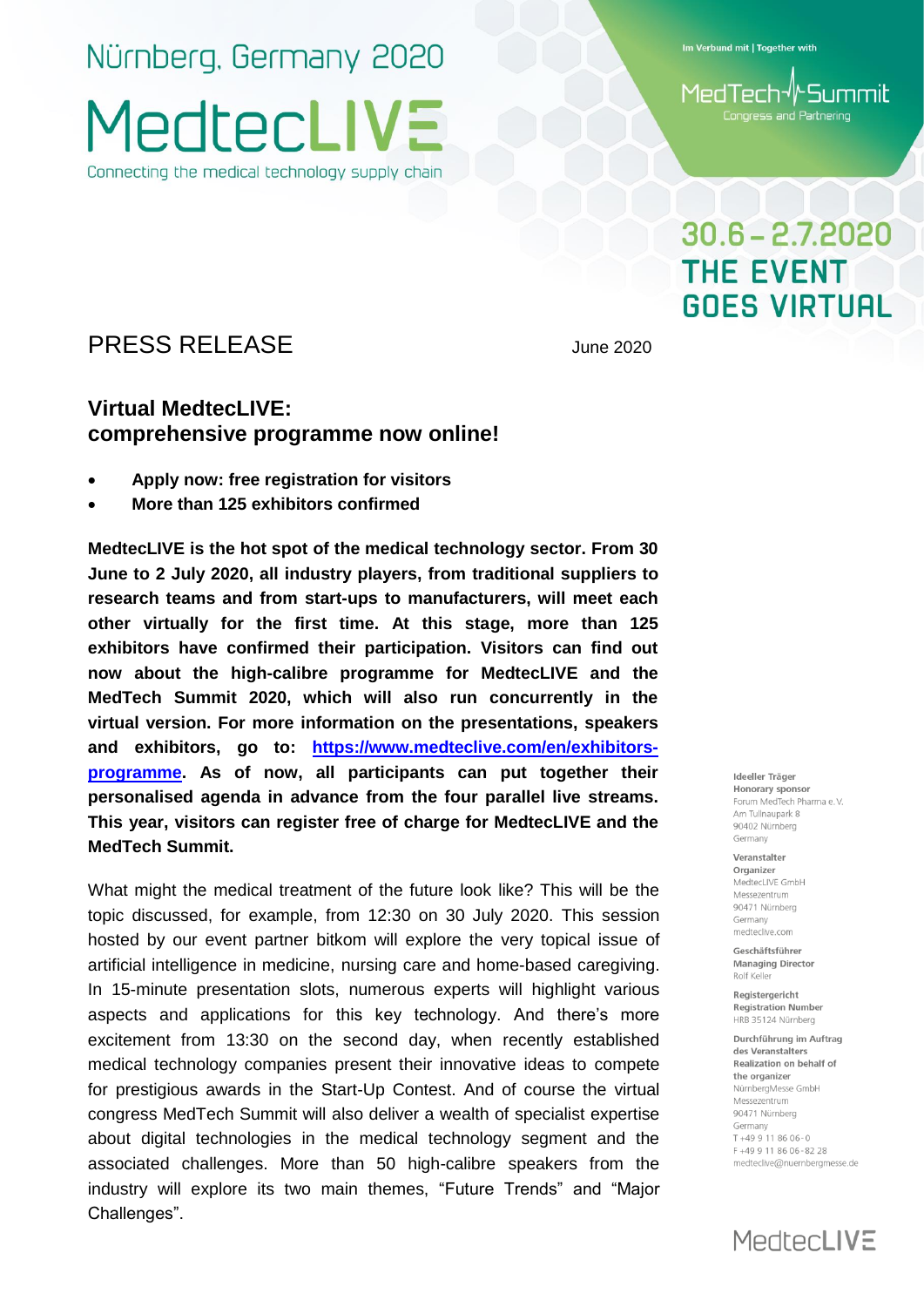Nürnberg, Germany 2020 **MedtecLIV** Connecting the medical technology supply chain

Im Verbund mit | Together with

MedTech√∤Summit Congress and Partnering

## $30.6 - 2.7.2020$ **THE EVENT GOES VIRTUAL**

PRESS RELEASE June 2020

### **Virtual MedtecLIVE: comprehensive programme now online!**

- **Apply now: free registration for visitors**
- **More than 125 exhibitors confirmed**

**MedtecLIVE is the hot spot of the medical technology sector. From 30 June to 2 July 2020, all industry players, from traditional suppliers to research teams and from start-ups to manufacturers, will meet each other virtually for the first time. At this stage, more than 125 exhibitors have confirmed their participation. Visitors can find out now about the high-calibre programme for MedtecLIVE and the MedTech Summit 2020, which will also run concurrently in the virtual version. For more information on the presentations, speakers and exhibitors, go to: [https://www.medteclive.com/en/exhibitors](https://www.medteclive.com/en/exhibitors-programme)[programme.](https://www.medteclive.com/en/exhibitors-programme) As of now, all participants can put together their personalised agenda in advance from the four parallel live streams. This year, visitors can register free of charge for MedtecLIVE and the MedTech Summit.**

What might the medical treatment of the future look like? This will be the topic discussed, for example, from 12:30 on 30 July 2020. This session hosted by our event partner bitkom will explore the very topical issue of artificial intelligence in medicine, nursing care and home-based caregiving. In 15-minute presentation slots, numerous experts will highlight various aspects and applications for this key technology. And there's more excitement from 13:30 on the second day, when recently established medical technology companies present their innovative ideas to compete for prestigious awards in the Start-Up Contest. And of course the virtual congress MedTech Summit will also deliver a wealth of specialist expertise about digital technologies in the medical technology segment and the associated challenges. More than 50 high-calibre speakers from the industry will explore its two main themes, "Future Trends" and "Major Challenges".

Ideeller Träger Honorary sponsor Forum MedTech Pharma e.V. Am Tullnaupark 8 90402 Nürnberg Germany

Veranstalter Organizer MedtecLIVE GmbH Messezentrum 90471 Nürnberg Germany medteclive.com

Geschäftsführer **Managing Director** Rolf Kelle

Reaisteraericht **Registration Number** HRB 35124 Nürnberg

Durchführung im Auftrag des Veranstalters Realization on behalf of the organizer NürnbergMesse GmbH Messezentrum 90471 Nürnberg Germany  $T + 499118606 - 0$ F+49 9 11 86 06-82 28 medteclive@nuernbergmesse.de

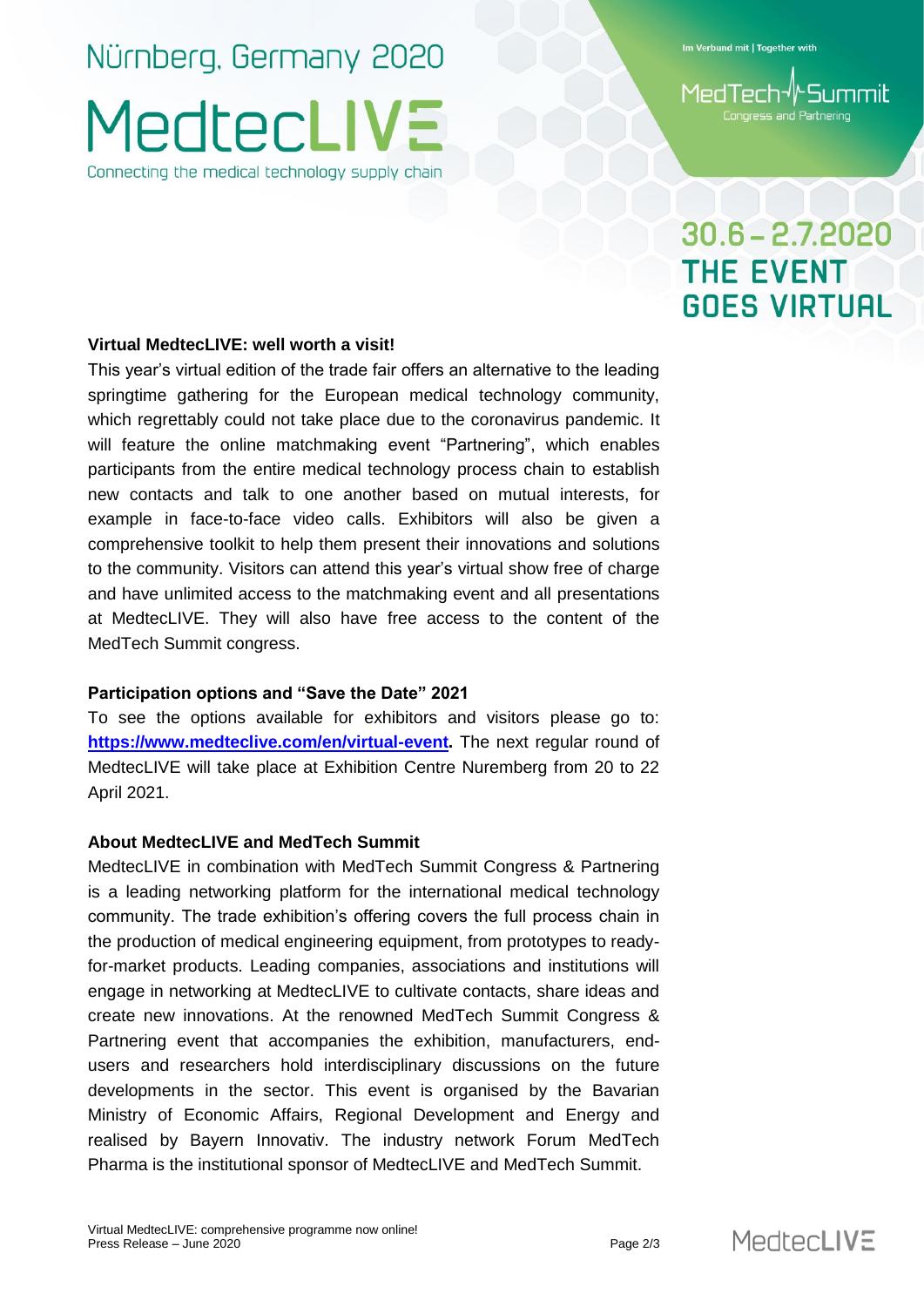# Nürnberg, Germany 2020 MedtecLIV:

Connecting the medical technology supply chain

Im Verbund mit | Together with

## $30.6 - 2.7.2020$ **THE EVENT GOES VIRTUAL**

#### **Virtual MedtecLIVE: well worth a visit!**

This year's virtual edition of the trade fair offers an alternative to the leading springtime gathering for the European medical technology community, which regrettably could not take place due to the coronavirus pandemic. It will feature the online matchmaking event "Partnering", which enables participants from the entire medical technology process chain to establish new contacts and talk to one another based on mutual interests, for example in face-to-face video calls. Exhibitors will also be given a comprehensive toolkit to help them present their innovations and solutions to the community. Visitors can attend this year's virtual show free of charge and have unlimited access to the matchmaking event and all presentations at MedtecLIVE. They will also have free access to the content of the MedTech Summit congress.

#### **Participation options and "Save the Date" 2021**

To see the options available for exhibitors and visitors please go to: **https://www.medteclive.com/en/virtual-event.** The next regular round of MedtecLIVE will take place at Exhibition Centre Nuremberg from 20 to 22 April 2021.

#### **About MedtecLIVE and MedTech Summit**

MedtecLIVE in combination with MedTech Summit Congress & Partnering is a leading networking platform for the international medical technology community. The trade exhibition's offering covers the full process chain in the production of medical engineering equipment, from prototypes to readyfor-market products. Leading companies, associations and institutions will engage in networking at MedtecLIVE to cultivate contacts, share ideas and create new innovations. At the renowned MedTech Summit Congress & Partnering event that accompanies the exhibition, manufacturers, endusers and researchers hold interdisciplinary discussions on the future developments in the sector. This event is organised by the Bavarian Ministry of Economic Affairs, Regional Development and Energy and realised by Bayern Innovativ. The industry network Forum MedTech Pharma is the institutional sponsor of MedtecLIVE and MedTech Summit.